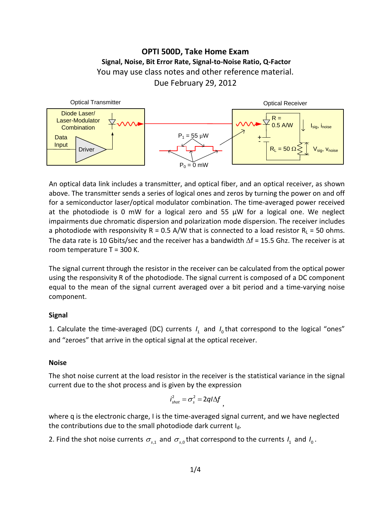# **OPTI 500D, Take Home Exam Signal, Noise, Bit Error Rate, Signal-to-Noise Ratio, Q-Factor** You may use class notes and other reference material. Due February 29, 2012



An optical data link includes a transmitter, and optical fiber, and an optical receiver, as shown above. The transmitter sends a series of logical ones and zeros by turning the power on and off for a semiconductor laser/optical modulator combination. The time-averaged power received at the photodiode is 0 mW for a logical zero and 55 µW for a logical one. We neglect impairments due chromatic dispersion and polarization mode dispersion. The receiver includes a photodiode with responsivity R = 0.5 A/W that is connected to a load resistor  $R<sub>L</sub>$  = 50 ohms. The data rate is 10 Gbits/sec and the receiver has a bandwidth ∆f = 15.5 Ghz. The receiver is at room temperature T = 300 K.

The signal current through the resistor in the receiver can be calculated from the optical power using the responsivity R of the photodiode. The signal current is composed of a DC component equal to the mean of the signal current averaged over a bit period and a time-varying noise component.

# **Signal**

1. Calculate the time-averaged (DC) currents  $I_1$  and  $I_0$  that correspond to the logical "ones" and "zeroes" that arrive in the optical signal at the optical receiver.

## **Noise**

The shot noise current at the load resistor in the receiver is the statistical variance in the signal current due to the shot process and is given by the expression

$$
i_{\text{shot}}^2 = \sigma_s^2 = 2q/\Delta f
$$

where q is the electronic charge, I is the time-averaged signal current, and we have neglected the contributions due to the small photodiode dark current  $I_d$ .

2. Find the shot noise currents  $\sigma_{s,1}$  and  $\sigma_{s,0}$ that correspond to the currents  $I_1$  and  $I_0$ .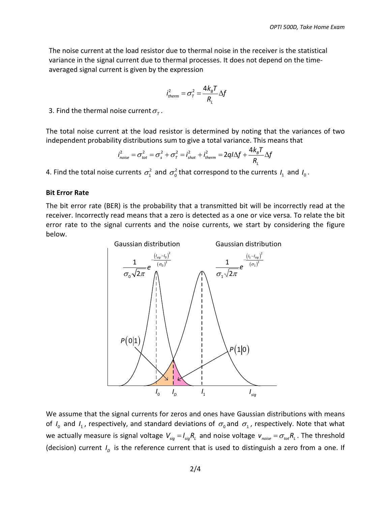The noise current at the load resistor due to thermal noise in the receiver is the statistical variance in the signal current due to thermal processes. It does not depend on the timeaveraged signal current is given by the expression

$$
i_{therm}^2 = \sigma_{\tau}^2 = \frac{4k_{B}T}{R_{L}}\Delta f
$$

3. Find the thermal noise current  $\sigma_{\tau}$ .

The total noise current at the load resistor is determined by noting that the variances of two independent probability distributions sum to give a total variance. This means that

$$
i_{noise}^2 = \sigma_{tot}^2 = \sigma_s^2 + \sigma_\tau^2 = i_{shot}^2 + i_{therm}^2 = 2q/\Delta f + \frac{4k_B T}{R_L} \Delta f
$$

4. Find the total noise currents  $\sigma_1^2$  and  $\sigma_0^2$  that correspond to the currents  $I_1$  and  $I_0$ .

#### **Bit Error Rate**

The bit error rate (BER) is the probability that a transmitted bit will be incorrectly read at the receiver. Incorrectly read means that a zero is detected as a one or vice versa. To relate the bit error rate to the signal currents and the noise currents, we start by considering the figure below.



We assume that the signal currents for zeros and ones have Gaussian distributions with means of  $I_0$  and  $I_1$ , respectively, and standard deviations of  $\sigma_0$  and  $\sigma_1$ , respectively. Note that what we actually measure is signal voltage  $V_{sig} = I_{sig}R_L$  and noise voltage  $v_{noise} = \sigma_{tot}R_L$ . The threshold (decision) current  $I<sub>D</sub>$  is the reference current that is used to distinguish a zero from a one. If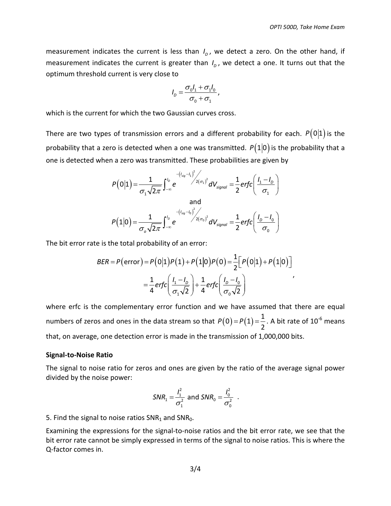measurement indicates the current is less than  $I<sub>p</sub>$ , we detect a zero. On the other hand, if measurement indicates the current is greater than  $I<sub>p</sub>$ , we detect a one. It turns out that the optimum threshold current is very close to

$$
I_D = \frac{\sigma_0 I_1 + \sigma_1 I_0}{\sigma_0 + \sigma_1},
$$

which is the current for which the two Gaussian curves cross.

There are two types of transmission errors and a different probability for each.  $P(0|1)$  is the probability that a zero is detected when a one was transmitted.  $P(1|0)$  is the probability that a one is detected when a zero was transmitted. These probabilities are given by

$$
P(0|1) = \frac{1}{\sigma_1 \sqrt{2\pi}} \int_{-\infty}^{l_0} e^{-(l_{sig} - l_1)^2/2(\sigma_1)^2} dV_{signal} = \frac{1}{2} erfc\left(\frac{l_1 - l_0}{\sigma_1}\right)
$$
  
and  

$$
P(1|0) = \frac{1}{\sigma_0 \sqrt{2\pi}} \int_{-\infty}^{l_0} e^{-(l_{sig} - l_0)^2/2(\sigma_0)^2} dV_{signal} = \frac{1}{2} erfc\left(\frac{l_0 - l_0}{\sigma_0}\right)
$$

0

The bit error rate is the total probability of an error:

*o*

$$
BER = P(\text{error}) = P(0|1)P(1) + P(1|0)P(0) = \frac{1}{2} \Big[ P(0|1) + P(1|0) \Big]
$$
  
=  $\frac{1}{4} erfc \Big( \frac{l_1 - l_0}{\sigma_1 \sqrt{2}} \Big) + \frac{1}{4} erfc \Big( \frac{l_0 - l_0}{\sigma_0 \sqrt{2}} \Big)$ 

where erfc is the complementary error function and we have assumed that there are equal numbers of zeros and ones in the data stream so that  $P( 0 ) = P( 1 ) = \frac{1}{2}$ 2  $P(0) = P(1) = \frac{1}{2}$ . A bit rate of 10<sup>-6</sup> means that, on average, one detection error is made in the transmission of 1,000,000 bits.

#### **Signal-to-Noise Ratio**

The signal to noise ratio for zeros and ones are given by the ratio of the average signal power divided by the noise power:

$$
SNR_1 = \frac{I_1^2}{\sigma_1^2}
$$
 and  $SNR_0 = \frac{I_0^2}{\sigma_0^2}$ .

5. Find the signal to noise ratios  $SNR<sub>1</sub>$  and  $SNR<sub>0</sub>$ .

Examining the expressions for the signal-to-noise ratios and the bit error rate, we see that the bit error rate cannot be simply expressed in terms of the signal to noise ratios. This is where the Q-factor comes in.